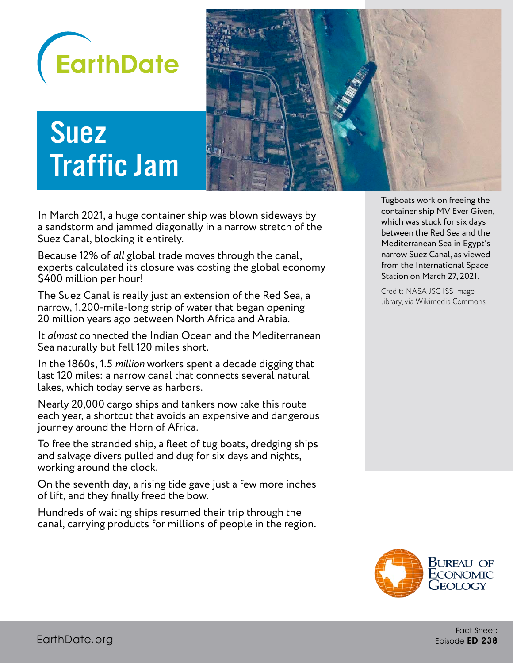

# Suez Traffic Jam



In March 2021, a huge container ship was blown sideways by a sandstorm and jammed diagonally in a narrow stretch of the Suez Canal, blocking it entirely.

Because 12% of *all* global trade moves through the canal, experts calculated its closure was costing the global economy \$400 million per hour!

The Suez Canal is really just an extension of the Red Sea, a narrow, 1,200-mile-long strip of water that began opening 20 million years ago between North Africa and Arabia.

It *almost* connected the Indian Ocean and the Mediterranean Sea naturally but fell 120 miles short.

In the 1860s, 1.5 *million* workers spent a decade digging that last 120 miles: a narrow canal that connects several natural lakes, which today serve as harbors.

Nearly 20,000 cargo ships and tankers now take this route each year, a shortcut that avoids an expensive and dangerous journey around the Horn of Africa.

To free the stranded ship, a fleet of tug boats, dredging ships and salvage divers pulled and dug for six days and nights, working around the clock.

On the seventh day, a rising tide gave just a few more inches of lift, and they finally freed the bow.

Hundreds of waiting ships resumed their trip through the canal, carrying products for millions of people in the region.

Tugboats work on freeing the container ship MV Ever Given, which was stuck for six days between the Red Sea and the Mediterranean Sea in Egypt's narrow Suez Canal, as viewed from the International Space Station on March 27, 2021.

Credit: NASA JSC ISS image library, via Wikimedia Commons

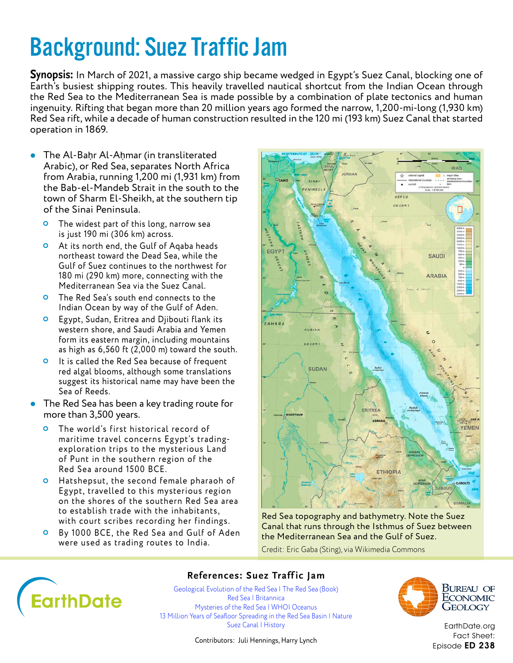**Synopsis:** In March of 2021, a massive cargo ship became wedged in Egypt's Suez Canal, blocking one of Earth's busiest shipping routes. This heavily travelled nautical shortcut from the Indian Ocean through the Red Sea to the Mediterranean Sea is made possible by a combination of plate tectonics and human ingenuity. Rifting that began more than 20 million years ago formed the narrow, 1,200-mi-long (1,930 km) Red Sea rift, while a decade of human construction resulted in the 120 mi (193 km) Suez Canal that started operation in 1869.

- The Al-Baḥr Al-Aḥmar (in transliterated Arabic), or Red Sea, separates North Africa from Arabia, running 1,200 mi (1,931 km) from the Bab-el-Mandeb Strait in the south to the town of Sharm El-Sheikh, at the southern tip of the Sinai Peninsula.
	- The widest part of this long, narrow sea is just 190 mi (306 km) across.
	- At its north end, the Gulf of Aqaba heads northeast toward the Dead Sea, while the Gulf of Suez continues to the northwest for 180 mi (290 km) more, connecting with the Mediterranean Sea via the Suez Canal.
	- **O** The Red Sea's south end connects to the Indian Ocean by way of the Gulf of Aden.
	- **O** Egypt, Sudan, Eritrea and Djibouti flank its western shore, and Saudi Arabia and Yemen form its eastern margin, including mountains as high as 6,560 ft (2,000 m) toward the south.
	- **O** It is called the Red Sea because of frequent red algal blooms, although some translations suggest its historical name may have been the Sea of Reeds.
- **•** The Red Sea has been a key trading route for more than 3,500 years.
	- **O** The world's first historical record of maritime travel concerns Egypt's tradingexploration trips to the mysterious Land of Punt in the southern region of the Red Sea around 1500 BCE.
	- **O** Hatshepsut, the second female pharaoh of Eg ypt, travelled to this mysterious region on the shores of the southern Red Sea area to establish trade with the inhabitants, with court scribes recording her findings.
	- By 1000 BCE, the Red Sea and Gulf of Aden were used as trading routes to India.



Red Sea topography and bathymetry. Note the Suez Canal that runs through the Isthmus of Suez between the Mediterranean Sea and the Gulf of Suez.

Credit: Eric Gaba (Sting), via Wikimedia Commons



### **References: Suez Traff ic Jam**

[Geological Evolution of the Red Sea | The Red Sea \(Book\)](https://www.researchgate.net/publication/277310102_Geological_Evolution_of_the_Red_Sea_Historical_Background_Review_and_Synthesis) [Red Sea | Britannica](https://www.britannica.com/place/Red-Sea) [Mysteries of the Red Sea | WHOI Oceanus](https://www.whoi.edu/oceanus/feature/mysteries-of-the-red-sea/) [13 Million Years of Seafloor Spreading in the Red Sea Basin | Nature](https://www.nature.com/articles/s41467-021-22586-2) [Suez Canal | History](https://www.history.com/topics/africa/suez-canal)



Bureau of ECONOMIC GEOLOGY

[EarthDate.org](http://www.earthdate.org) Fact Sheet: Episode ED 238

Contributors: Juli Hennings, Harry Lynch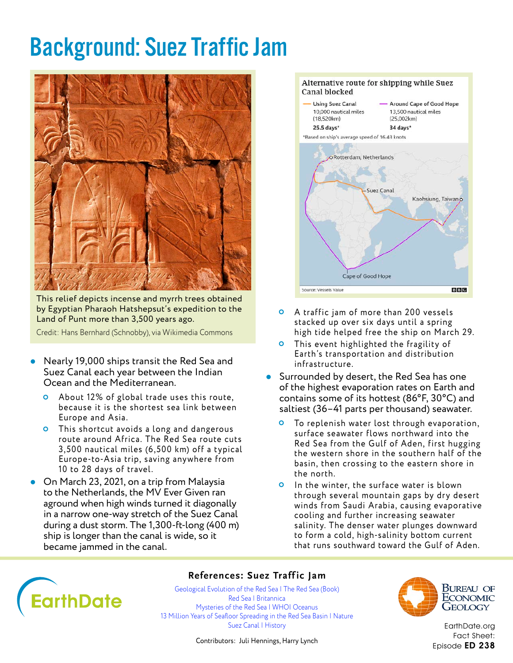

This relief depicts incense and myrrh trees obtained by Egyptian Pharaoh Hatshepsut's expedition to the Land of Punt more than 3,500 years ago.

Credit: Hans Bernhard (Schnobby), via Wikimedia Commons

- Nearly 19,000 ships transit the Red Sea and Suez Canal each year between the Indian Ocean and the Mediterranean.
	- About 12% of global trade uses this route, because it is the shortest sea link between Europe and Asia.
	- This shortcut avoids a long and dangerous route around Africa. The Red Sea route cuts 3,500 nautical miles (6,500 km) off a typical Europe-to-Asia trip, saving any where from 10 to 28 days of travel.
- **•** On March 23, 2021, on a trip from Malaysia to the Netherlands, the MV Ever Given ran aground when high winds turned it diagonally in a narrow one-way stretch of the Suez Canal during a dust storm. The 1,300-ft-long (400 m) ship is longer than the canal is wide, so it became jammed in the canal.



- A traffic jam of more than 200 vessels stacked up over six days until a spring high tide helped free the ship on March 29.
- **O** This event highlighted the fragility of Earth's transportation and distribution infrastructure.
- **Surrounded by desert, the Red Sea has one** of the highest evaporation rates on Earth and contains some of its hottest (86°F, 30°C) and saltiest (36–41 parts per thousand) seawater.
	- **O** To replenish water lost through evaporation, surface seawater flows northward into the Red Sea from the Gulf of Aden, first hugging the western shore in the southern half of the basin, then crossing to the eastern shore in the north.
	- **O** In the winter, the surface water is blown through several mountain gaps by dry desert winds from Saudi Arabia, causing evaporative cooling and further increasing seawater salinity. The denser water plunges downward to form a cold, high-salinity bottom current that runs southward toward the Gulf of Aden.



#### **References: Suez Traffic Jam**

[Geological Evolution of the Red Sea | The Red Sea \(Book\)](https://www.researchgate.net/publication/277310102_Geological_Evolution_of_the_Red_Sea_Historical_Background_Review_and_Synthesis) [Red Sea | Britannica](https://www.britannica.com/place/Red-Sea) [Mysteries of the Red Sea | WHOI Oceanus](https://www.whoi.edu/oceanus/feature/mysteries-of-the-red-sea/) 13 Million Years of Seafloor Spreading in the Red Sea Basin I Nature [Suez Canal | History](https://www.history.com/topics/africa/suez-canal)



Bureau of ECONOMIC Geology

[EarthDate.org](http://www.earthdate.org) Fact Sheet: Episode ED 238

Contributors: Juli Hennings, Harry Lynch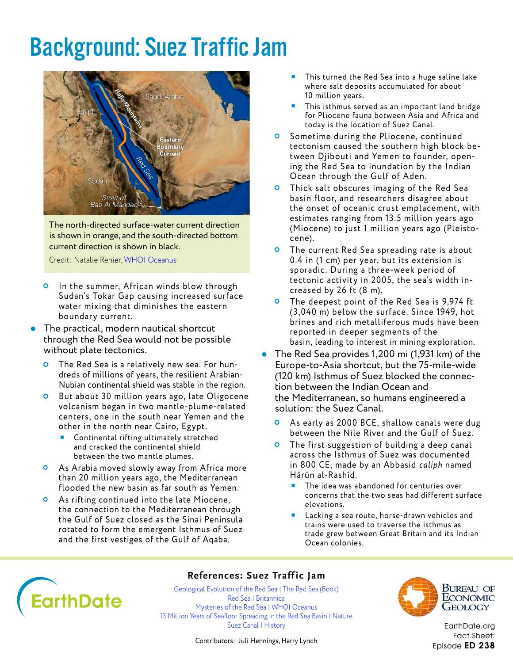

The north-directed surface-water current direction is shown in orange, and the south-directed bottom current direction is shown in black.

Credit: Natalie Renier, [WHOI Oceanus](https://www.whoi.edu/oceanus/feature/mysteries-of-the-red-sea/)

- **O** In the summer, African winds blow through Sudan's Tokar Gap causing increased surface water mixing that diminishes the eastern boundary current.
- The practical, modern nautical shortcut through the Red Sea would not be possible without plate tectonics.
	- The Red Sea is a relatively new sea. For hundreds of millions of years, the resilient Arabian-Nubian continental shield was stable in the region.
	- **O** But about 30 million years ago, late Oligocene volcanism began in two mantle-plume-related centers, one in the south near Yemen and the other in the north near Cairo, Egypt.
		- Continental rifting ultimately stretched and cracked the continental shield between the two mantle plumes.
	- **O** As Arabia moved slowly away from Africa more than 20 million years ago, the Mediterranean flooded the new basin as far south as Yemen.
	- **O** As rifting continued into the late Miocene, the connection to the Mediterranean through the Gulf of Suez closed as the Sinai Peninsula rotated to form the emergent Isthmus of Suez and the first vestiges of the Gulf of Aqaba.
- This turned the Red Sea into a huge saline lake where salt deposits accumulated for about 10 million years.
- This isthmus served as an important land bridge for Pliocene fauna between Asia and Africa and today is the location of Suez Canal.
- **O** Sometime during the Pliocene, continued tectonism caused the southern high block between Djibouti and Yemen to founder, opening the Red Sea to inundation by the Indian Ocean through the Gulf of Aden.
- Thick salt obscures imaging of the Red Sea basin floor, and researchers disagree about the onset of oceanic crust emplacement, with estimates ranging from 13.5 million years ago (Miocene) to just 1 million years ago (Pleistocene).
- **O** The current Red Sea spreading rate is about 0.4 in (1 cm) per year, but its extension is sporadic. During a three-week period of tectonic activity in 2005, the sea's width increased by 26 ft (8 m).
- **O** The deepest point of the Red Sea is 9,974 ft (3,040 m) below the surface. Since 1949, hot brines and rich metalliferous muds have been reported in deeper segments of the basin, leading to interest in mining exploration.
- The Red Sea provides 1,200 mi (1,931 km) of the Europe-to-Asia shortcut, but the 75-mile-wide (120 km) Isthmus of Suez blocked the connection between the Indian Ocean and the Mediterranean, so humans engineered a solution: the Suez Canal.
	- As early as 2000 BCE, shallow canals were dug between the Nile River and the Gulf of Suez.
	- **O** The first suggestion of building a deep canal across the Isthmus of Suez was documented in 800 CE, made by an Abbasid *caliph* named Hārūn al-Rashīd.
		- The idea was abandoned for centuries over concerns that the two seas had different surface elevations.
		- Lacking a sea route, horse-drawn vehicles and trains were used to traverse the isthmus as trade grew between Great Britain and its Indian Ocean colonies.



#### **References: Suez Traffic Jam**

[Geological Evolution of the Red Sea | The Red Sea \(Book\)](https://www.researchgate.net/publication/277310102_Geological_Evolution_of_the_Red_Sea_Historical_Background_Review_and_Synthesis) [Red Sea | Britannica](https://www.britannica.com/place/Red-Sea) [Mysteries of the Red Sea | WHOI Oceanus](https://www.whoi.edu/oceanus/feature/mysteries-of-the-red-sea/) 13 Million Years of Seafloor Spreading in the Red Sea Basin I Nature [Suez Canal | History](https://www.history.com/topics/africa/suez-canal)



Bureau of ECONOMIC Geology

[EarthDate.org](http://www.earthdate.org) Fact Sheet: Episode ED 238

Contributors: Juli Hennings, Harry Lynch